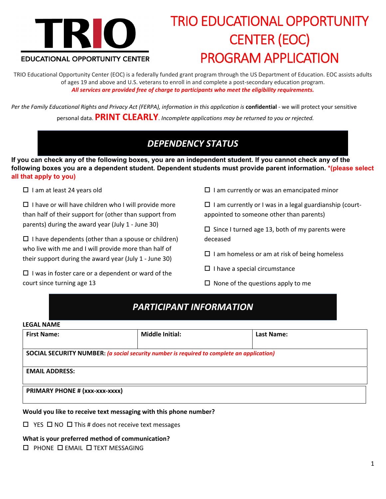

# TRIO EDUCATIONAL OPPORTUNITY CENTER (EOC) PROGRAM APPLICATION

TRIO Educational Opportunity Center (EOC) is a federally funded grant program through the US Department of Education. EOC assists adults of ages 19 and above and U.S. veterans to enroll in and complete a post‐secondary education program. *All services are provided free of charge to participants who meet the eligibility requirements.*

Per the Family Educational Rights and Privacy Act (FERPA), information in this application is confidential - we will protect your sensitive personal data. **PRINT CLEARLY**. *Incomplete applications may be returned to you or rejected.*

# *DEPENDENCY STATUS*

**If you can check any of the following boxes, you are an independent student. If you cannot check any of the following boxes you are a dependent student. Dependent students must provide parent information. \*(please select all that apply to you)** 

 $\square$  I am at least 24 years old

 $\square$  I have or will have children who I will provide more than half of their support for (other than support from parents) during the award year (July 1 ‐ June 30)

 $\square$  I have dependents (other than a spouse or children) who live with me and I will provide more than half of their support during the award year (July 1 ‐ June 30)

 $\Box$  I was in foster care or a dependent or ward of the court since turning age 13

 $\square$  I am currently or was an emancipated minor

 $\square$  I am currently or I was in a legal guardianship (courtappointed to someone other than parents)

 $\square$  Since I turned age 13, both of my parents were deceased

- $\Box$  I am homeless or am at risk of being homeless
- $\Box$  I have a special circumstance
- $\square$  None of the questions apply to me

### *PARTICIPANT INFORMATION*

### **LEGAL NAME**

| <b>First Name:</b>             | <b>Middle Initial:</b>                                                                    | Last Name: |  |
|--------------------------------|-------------------------------------------------------------------------------------------|------------|--|
|                                |                                                                                           |            |  |
|                                | SOCIAL SECURITY NUMBER: (a social security number is required to complete an application) |            |  |
|                                |                                                                                           |            |  |
| <b>EMAIL ADDRESS:</b>          |                                                                                           |            |  |
|                                |                                                                                           |            |  |
|                                |                                                                                           |            |  |
| PRIMARY PHONE # (xxx-xxx-xxxx) |                                                                                           |            |  |

### **Would you like to receive text messaging with this phone number?**

 $\Box$  YES  $\Box$  NO  $\Box$  This # does not receive text messages

### **What is your preferred method of communication?**

 $\square$  PHONE  $\square$  EMAIL  $\square$  TEXT MESSAGING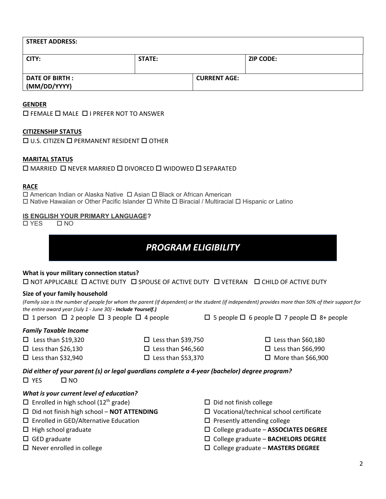| <b>STREET ADDRESS:</b>                 |        |                     |                  |
|----------------------------------------|--------|---------------------|------------------|
| CITY:                                  | STATE: |                     | <b>ZIP CODE:</b> |
| <b>DATE OF BIRTH :</b><br>(MM/DD/YYYY) |        | <b>CURRENT AGE:</b> |                  |

### **GENDER**

 $\square$  FEMALE  $\square$  MALE  $\square$  I PREFER NOT TO ANSWER

#### **CITIZENSHIP STATUS**

 $\square$  U.S. CITIZEN  $\square$  PERMANENT RESIDENT  $\square$  OTHER

### **MARITAL STATUS**

 $\Box$  MARRIED  $\Box$  NEVER MARRIED  $\Box$  DIVORCED  $\Box$  WIDOWED  $\Box$  SEPARATED

#### **RACE**

 $\Box$  American Indian or Alaska Native  $\Box$  Asian  $\Box$  Black or African American  $\Box$  Native Hawaiian or Other Pacific Islander  $\Box$  White  $\Box$  Biracial / Multiracial  $\Box$  Hispanic or Latino

# **IS ENGLISH YOUR PRIMARY LANGUAGE?**

 $\overline{\Box YES}$ 

### *PROGRAM ELIGIBILITY*

### **What is your military connection status?**

 $\Box$  NOT APPLICABLE  $\Box$  ACTIVE DUTY  $\Box$  SPOUSE OF ACTIVE DUTY  $\Box$  VETERAN  $\Box$  CHILD OF ACTIVE DUTY

### **Size of your family household**

(Family size is the number of people for whom the parent (if dependent) or the student (if independent) provides more than 50% of their support for *the entire award year (July 1 ‐ June 30) ‐ Include Yourself.)*

 $\Box$  1 person  $\Box$  2 people  $\Box$  3 people  $\Box$  4 people  $\Box$  5 people  $\Box$  6 people  $\Box$  7 people  $\Box$  8+ people

### *Family Taxable Income*

- $\square$  Less than \$19,320
- $\Box$  Less than \$26,130  $\square$  Less than \$32,940

 $\square$  Less than \$39,750  $\square$  Less than \$46,560

 $\square$  Less than \$53,370

- $\square$  Less than \$60,180
- $\Box$  Less than \$66,990
- $\Box$  More than \$66,900

*Did either of your parent (s) or legal guardians complete a 4‐year (bachelor) degree program?*  $\square$  YES  $\square$  NO

### *What is your current level of education?*

- $\square$  Enrolled in high school (12<sup>th</sup> grade)
- Did not finish high school **NOT ATTENDING**
- □ Enrolled in GED/Alternative Education
- $\Box$  High school graduate
- $\Box$  GED graduate
- $\Box$  Never enrolled in college
- $\square$  Did not finish college
- Vocational/technical school certificate
- $\square$  Presently attending college
- College graduate **ASSOCIATES DEGREE**
- College graduate **BACHELORS DEGREE**
- College graduate **MASTERS DEGREE**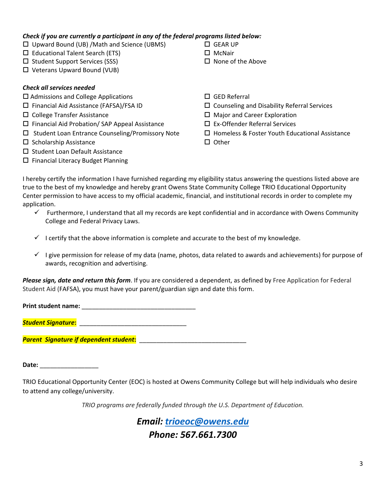### *Check if you are currently a participant in any of the federal programs listed below:*

- $\Box$  Upward Bound (UB) /Math and Science (UBMS)
- $\square$  Educational Talent Search (ETS)
- $\square$  Student Support Services (SSS)
- Veterans Upward Bound (VUB)

### *Check all services needed*

- $\square$  Admissions and College Applications
- Financial Aid Assistance (FAFSA)/FSA ID
- □ College Transfer Assistance
- $\square$  Financial Aid Probation/ SAP Appeal Assistance
- $\square$  Student Loan Entrance Counseling/Promissory Note
- $\square$  Scholarship Assistance
- $\square$  Student Loan Default Assistance
- $\square$  Financial Literacy Budget Planning

□ GED Referral

 $\Box$  None of the Above

□ GEAR UP  $\square$  McNair

- $\square$  Counseling and Disability Referral Services
- □ Major and Career Exploration
- Ex‐Offender Referral Services
- $\Box$  Homeless & Foster Youth Educational Assistance
- $\square$  Other

I hereby certify the information I have furnished regarding my eligibility status answering the questions listed above are true to the best of my knowledge and hereby grant Owens State Community College TRIO Educational Opportunity Center permission to have access to my official academic, financial, and institutional records in order to complete my application.

- $\checkmark$  Furthermore, I understand that all my records are kept confidential and in accordance with Owens Community College and Federal Privacy Laws.
- $\checkmark$  I certify that the above information is complete and accurate to the best of my knowledge.
- $\checkmark$  I give permission for release of my data (name, photos, data related to awards and achievements) for purpose of awards, recognition and advertising.

*Please sign, date and return this form*. If you are considered a dependent, as defined by Free Application for Federal Student Aid (FAFSA), you must have your parent/guardian sign and date this form.

**Print student name:** \_\_\_\_\_\_\_\_\_\_\_\_\_\_\_\_\_\_\_\_\_\_\_\_\_\_\_\_\_\_\_\_\_

*Student Signature***:** \_\_\_\_\_\_\_\_\_\_\_\_\_\_\_\_\_\_\_\_\_\_\_\_\_\_\_\_\_\_\_

*Parent Signature if dependent student***:** \_\_\_\_\_\_\_\_\_\_\_\_\_\_\_\_\_\_\_\_\_\_\_\_\_\_\_\_\_\_\_

**Date:** \_\_\_\_\_\_\_\_\_\_\_\_\_\_\_\_\_

TRIO Educational Opportunity Center (EOC) is hosted at Owens Community College but will help individuals who desire to attend any college/university.

*TRIO programs are federally funded through the U.S. Department of Education.*

*Email: trioeoc@owens.edu*

### *Phone: 567.661.7300*